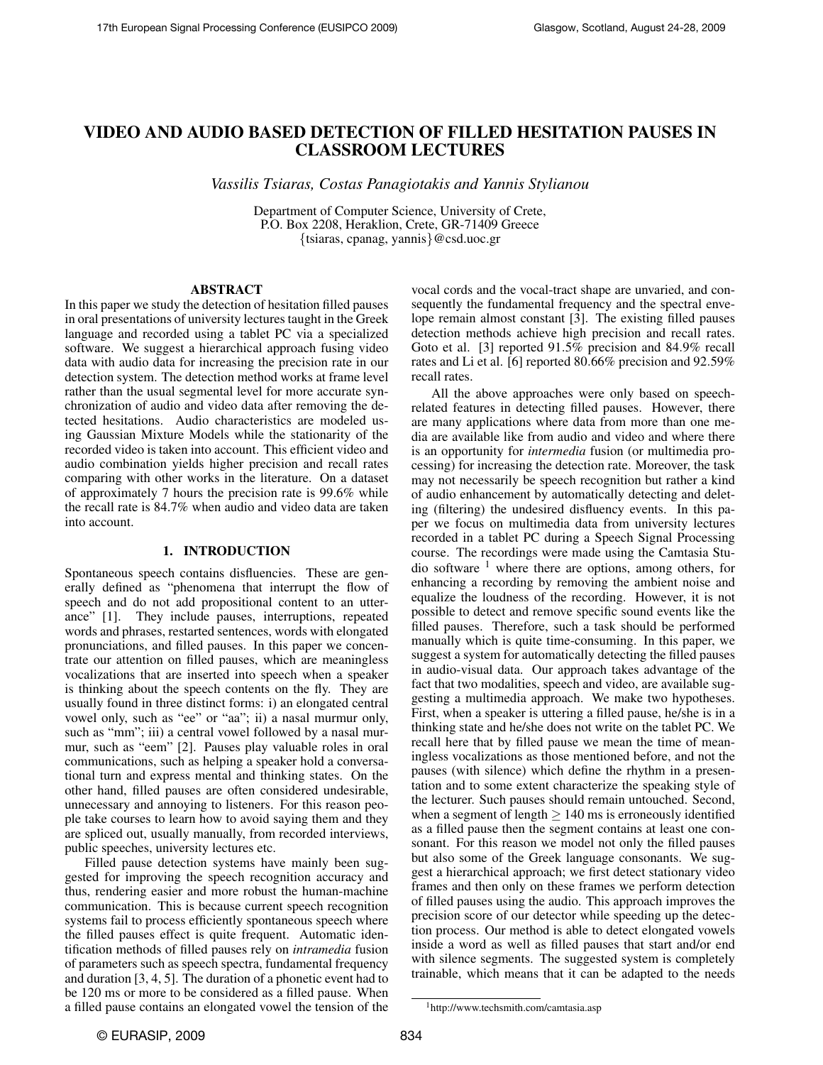# VIDEO AND AUDIO BASED DETECTION OF FILLED HESITATION PAUSES IN CLASSROOM LECTURES

*Vassilis Tsiaras, Costas Panagiotakis and Yannis Stylianou*

Department of Computer Science, University of Crete, P.O. Box 2208, Heraklion, Crete, GR-71409 Greece {tsiaras, cpanag, yannis}@csd.uoc.gr

#### ABSTRACT

In this paper we study the detection of hesitation filled pauses in oral presentations of university lectures taught in the Greek language and recorded using a tablet PC via a specialized software. We suggest a hierarchical approach fusing video data with audio data for increasing the precision rate in our detection system. The detection method works at frame level rather than the usual segmental level for more accurate synchronization of audio and video data after removing the detected hesitations. Audio characteristics are modeled using Gaussian Mixture Models while the stationarity of the recorded video is taken into account. This efficient video and audio combination yields higher precision and recall rates comparing with other works in the literature. On a dataset of approximately 7 hours the precision rate is 99.6% while the recall rate is 84.7% when audio and video data are taken into account.

## 1. INTRODUCTION

Spontaneous speech contains disfluencies. These are generally defined as "phenomena that interrupt the flow of speech and do not add propositional content to an utterance" [1]. They include pauses, interruptions, repeated words and phrases, restarted sentences, words with elongated pronunciations, and filled pauses. In this paper we concentrate our attention on filled pauses, which are meaningless vocalizations that are inserted into speech when a speaker is thinking about the speech contents on the fly. They are usually found in three distinct forms: i) an elongated central vowel only, such as "ee" or "aa"; ii) a nasal murmur only, such as "mm"; iii) a central vowel followed by a nasal murmur, such as "eem" [2]. Pauses play valuable roles in oral communications, such as helping a speaker hold a conversational turn and express mental and thinking states. On the other hand, filled pauses are often considered undesirable, unnecessary and annoying to listeners. For this reason people take courses to learn how to avoid saying them and they are spliced out, usually manually, from recorded interviews, public speeches, university lectures etc.

Filled pause detection systems have mainly been suggested for improving the speech recognition accuracy and thus, rendering easier and more robust the human-machine communication. This is because current speech recognition systems fail to process efficiently spontaneous speech where the filled pauses effect is quite frequent. Automatic identification methods of filled pauses rely on *intramedia* fusion of parameters such as speech spectra, fundamental frequency and duration [3, 4, 5]. The duration of a phonetic event had to be 120 ms or more to be considered as a filled pause. When a filled pause contains an elongated vowel the tension of the

vocal cords and the vocal-tract shape are unvaried, and consequently the fundamental frequency and the spectral envelope remain almost constant [3]. The existing filled pauses detection methods achieve high precision and recall rates. Goto et al. [3] reported 91.5% precision and 84.9% recall rates and Li et al. [6] reported 80.66% precision and 92.59% recall rates.

All the above approaches were only based on speechrelated features in detecting filled pauses. However, there are many applications where data from more than one media are available like from audio and video and where there is an opportunity for *intermedia* fusion (or multimedia processing) for increasing the detection rate. Moreover, the task may not necessarily be speech recognition but rather a kind of audio enhancement by automatically detecting and deleting (filtering) the undesired disfluency events. In this paper we focus on multimedia data from university lectures recorded in a tablet PC during a Speech Signal Processing course. The recordings were made using the Camtasia Studio software  $1$  where there are options, among others, for enhancing a recording by removing the ambient noise and equalize the loudness of the recording. However, it is not possible to detect and remove specific sound events like the filled pauses. Therefore, such a task should be performed manually which is quite time-consuming. In this paper, we suggest a system for automatically detecting the filled pauses in audio-visual data. Our approach takes advantage of the fact that two modalities, speech and video, are available suggesting a multimedia approach. We make two hypotheses. First, when a speaker is uttering a filled pause, he/she is in a thinking state and he/she does not write on the tablet PC. We recall here that by filled pause we mean the time of meaningless vocalizations as those mentioned before, and not the pauses (with silence) which define the rhythm in a presentation and to some extent characterize the speaking style of the lecturer. Such pauses should remain untouched. Second, when a segment of length  $\geq 140$  ms is erroneously identified as a filled pause then the segment contains at least one consonant. For this reason we model not only the filled pauses but also some of the Greek language consonants. We suggest a hierarchical approach; we first detect stationary video frames and then only on these frames we perform detection of filled pauses using the audio. This approach improves the precision score of our detector while speeding up the detection process. Our method is able to detect elongated vowels inside a word as well as filled pauses that start and/or end with silence segments. The suggested system is completely trainable, which means that it can be adapted to the needs

<sup>1</sup>http://www.techsmith.com/camtasia.asp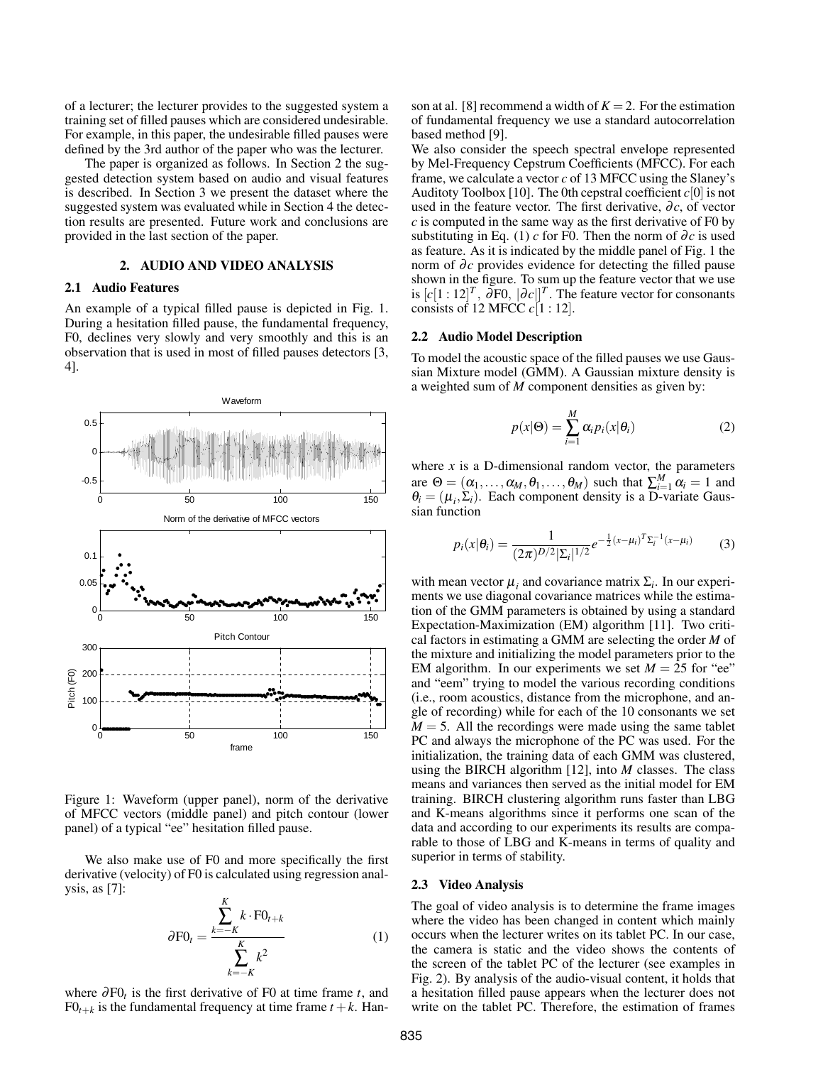of a lecturer; the lecturer provides to the suggested system a training set of filled pauses which are considered undesirable. For example, in this paper, the undesirable filled pauses were defined by the 3rd author of the paper who was the lecturer.

The paper is organized as follows. In Section 2 the suggested detection system based on audio and visual features is described. In Section 3 we present the dataset where the suggested system was evaluated while in Section 4 the detection results are presented. Future work and conclusions are provided in the last section of the paper.

## 2. AUDIO AND VIDEO ANALYSIS

## 2.1 Audio Features

An example of a typical filled pause is depicted in Fig. 1. During a hesitation filled pause, the fundamental frequency, F0, declines very slowly and very smoothly and this is an observation that is used in most of filled pauses detectors [3, 4].



Figure 1: Waveform (upper panel), norm of the derivative of MFCC vectors (middle panel) and pitch contour (lower panel) of a typical "ee" hesitation filled pause.

We also make use of F0 and more specifically the first derivative (velocity) of F0 is calculated using regression analysis, as [7]:

$$
\partial \mathbf{F} \mathbf{0}_t = \frac{\sum_{k=-K}^{K} k \cdot \mathbf{F} \mathbf{0}_{t+k}}{\sum_{k=-K}^{K} k^2}
$$
 (1)

where ∂F0*<sup>t</sup>* is the first derivative of F0 at time frame *t*, and  $FO_{t+k}$  is the fundamental frequency at time frame  $t+k$ . Hanson at al. [8] recommend a width of  $K = 2$ . For the estimation of fundamental frequency we use a standard autocorrelation based method [9].

We also consider the speech spectral envelope represented by Mel-Frequency Cepstrum Coefficients (MFCC). For each frame, we calculate a vector  $c$  of 13 MFCC using the Slaney's Auditoty Toolbox [10]. The 0th cepstral coefficient  $c[0]$  is not used in the feature vector. The first derivative,  $\partial c$ , of vector *c* is computed in the same way as the first derivative of F0 by substituting in Eq. (1)  $c$  for F0. Then the norm of  $\partial c$  is used as feature. As it is indicated by the middle panel of Fig. 1 the norm of ∂c provides evidence for detecting the filled pause shown in the figure. To sum up the feature vector that we use is  $[c[1:12]^T$ ,  $\partial \text{F0}$ ,  $|\partial c|$ <sup>T</sup>. The feature vector for consonants consists of 12 MFCC *c*[1 : 12].

#### 2.2 Audio Model Description

To model the acoustic space of the filled pauses we use Gaussian Mixture model (GMM). A Gaussian mixture density is a weighted sum of *M* component densities as given by:

$$
p(x|\Theta) = \sum_{i=1}^{M} \alpha_i p_i(x|\theta_i)
$$
 (2)

where  $x$  is a D-dimensional random vector, the parameters are  $\Theta = (\alpha_1, \dots, \alpha_M, \theta_1, \dots, \theta_M)$  such that  $\sum_{i=1}^M \alpha_i = 1$  and  $\theta_i = (\mu_i, \Sigma_i)$ . Each component density is a D-variate Gaussian function

$$
p_i(x|\theta_i) = \frac{1}{(2\pi)^{D/2}|\Sigma_i|^{1/2}}e^{-\frac{1}{2}(x-\mu_i)^T\Sigma_i^{-1}(x-\mu_i)}
$$
(3)

with mean vector  $\mu_i$  and covariance matrix  $\Sigma_i$ . In our experiments we use diagonal covariance matrices while the estimation of the GMM parameters is obtained by using a standard Expectation-Maximization (EM) algorithm [11]. Two critical factors in estimating a GMM are selecting the order *M* of the mixture and initializing the model parameters prior to the EM algorithm. In our experiments we set  $M = 25$  for "ee" and "eem" trying to model the various recording conditions (i.e., room acoustics, distance from the microphone, and angle of recording) while for each of the 10 consonants we set  $M = 5$ . All the recordings were made using the same tablet PC and always the microphone of the PC was used. For the initialization, the training data of each GMM was clustered, using the BIRCH algorithm [12], into *M* classes. The class means and variances then served as the initial model for EM training. BIRCH clustering algorithm runs faster than LBG and K-means algorithms since it performs one scan of the data and according to our experiments its results are comparable to those of LBG and K-means in terms of quality and superior in terms of stability.

### 2.3 Video Analysis

The goal of video analysis is to determine the frame images where the video has been changed in content which mainly occurs when the lecturer writes on its tablet PC. In our case, the camera is static and the video shows the contents of the screen of the tablet PC of the lecturer (see examples in Fig. 2). By analysis of the audio-visual content, it holds that a hesitation filled pause appears when the lecturer does not write on the tablet PC. Therefore, the estimation of frames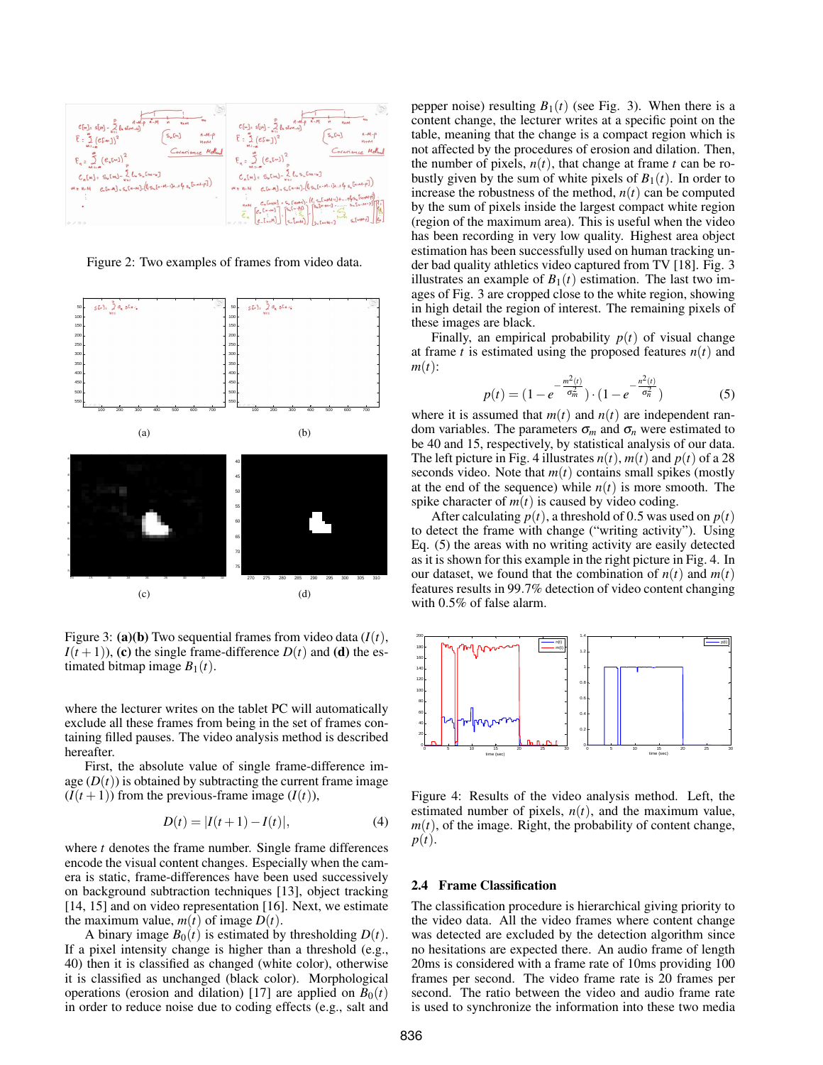

Figure 2: Two examples of frames from video data.



Figure 3: (a)(b) Two sequential frames from video data  $(I(t))$ ,  $I(t+1)$ , (c) the single frame-difference  $D(t)$  and (d) the estimated bitmap image  $B_1(t)$ .

where the lecturer writes on the tablet PC will automatically exclude all these frames from being in the set of frames containing filled pauses. The video analysis method is described hereafter.

First, the absolute value of single frame-difference image  $(D(t))$  is obtained by subtracting the current frame image  $(I(t+1))$  from the previous-frame image  $(I(t))$ ,

$$
D(t) = |I(t+1) - I(t)|,
$$
\n(4)

where *t* denotes the frame number. Single frame differences encode the visual content changes. Especially when the camera is static, frame-differences have been used successively on background subtraction techniques [13], object tracking [14, 15] and on video representation [16]. Next, we estimate the maximum value,  $m(t)$  of image  $D(t)$ .

A binary image  $B_0(t)$  is estimated by thresholding  $D(t)$ . If a pixel intensity change is higher than a threshold (e.g., 40) then it is classified as changed (white color), otherwise it is classified as unchanged (black color). Morphological operations (erosion and dilation) [17] are applied on  $B_0(t)$ in order to reduce noise due to coding effects (e.g., salt and pepper noise) resulting  $B_1(t)$  (see Fig. 3). When there is a content change, the lecturer writes at a specific point on the table, meaning that the change is a compact region which is not affected by the procedures of erosion and dilation. Then, the number of pixels,  $n(t)$ , that change at frame  $t$  can be robustly given by the sum of white pixels of  $B_1(t)$ . In order to increase the robustness of the method,  $n(t)$  can be computed by the sum of pixels inside the largest compact white region (region of the maximum area). This is useful when the video has been recording in very low quality. Highest area object estimation has been successfully used on human tracking under bad quality athletics video captured from TV [18]. Fig. 3 illustrates an example of  $B_1(t)$  estimation. The last two images of Fig. 3 are cropped close to the white region, showing in high detail the region of interest. The remaining pixels of these images are black.

Finally, an empirical probability  $p(t)$  of visual change at frame *t* is estimated using the proposed features  $n(t)$  and *m*(*t*):

$$
p(t) = (1 - e^{-\frac{m^2(t)}{\sigma_m^2}}) \cdot (1 - e^{-\frac{n^2(t)}{\sigma_n^2}})
$$
 (5)

where it is assumed that  $m(t)$  and  $n(t)$  are independent random variables. The parameters  $\sigma_m$  and  $\sigma_n$  were estimated to be 40 and 15, respectively, by statistical analysis of our data. The left picture in Fig. 4 illustrates  $n(t)$ ,  $m(t)$  and  $p(t)$  of a 28 seconds video. Note that  $m(t)$  contains small spikes (mostly at the end of the sequence) while  $n(t)$  is more smooth. The spike character of  $m(t)$  is caused by video coding.

After calculating  $p(t)$ , a threshold of 0.5 was used on  $p(t)$ to detect the frame with change ("writing activity"). Using Eq. (5) the areas with no writing activity are easily detected as it is shown for this example in the right picture in Fig. 4. In our dataset, we found that the combination of  $n(t)$  and  $m(t)$ features results in 99.7% detection of video content changing with 0.5% of false alarm.



Figure 4: Results of the video analysis method. Left, the estimated number of pixels,  $n(t)$ , and the maximum value,  $m(t)$ , of the image. Right, the probability of content change, *p*(*t*).

### 2.4 Frame Classification

The classification procedure is hierarchical giving priority to the video data. All the video frames where content change was detected are excluded by the detection algorithm since no hesitations are expected there. An audio frame of length 20ms is considered with a frame rate of 10ms providing 100 frames per second. The video frame rate is 20 frames per second. The ratio between the video and audio frame rate is used to synchronize the information into these two media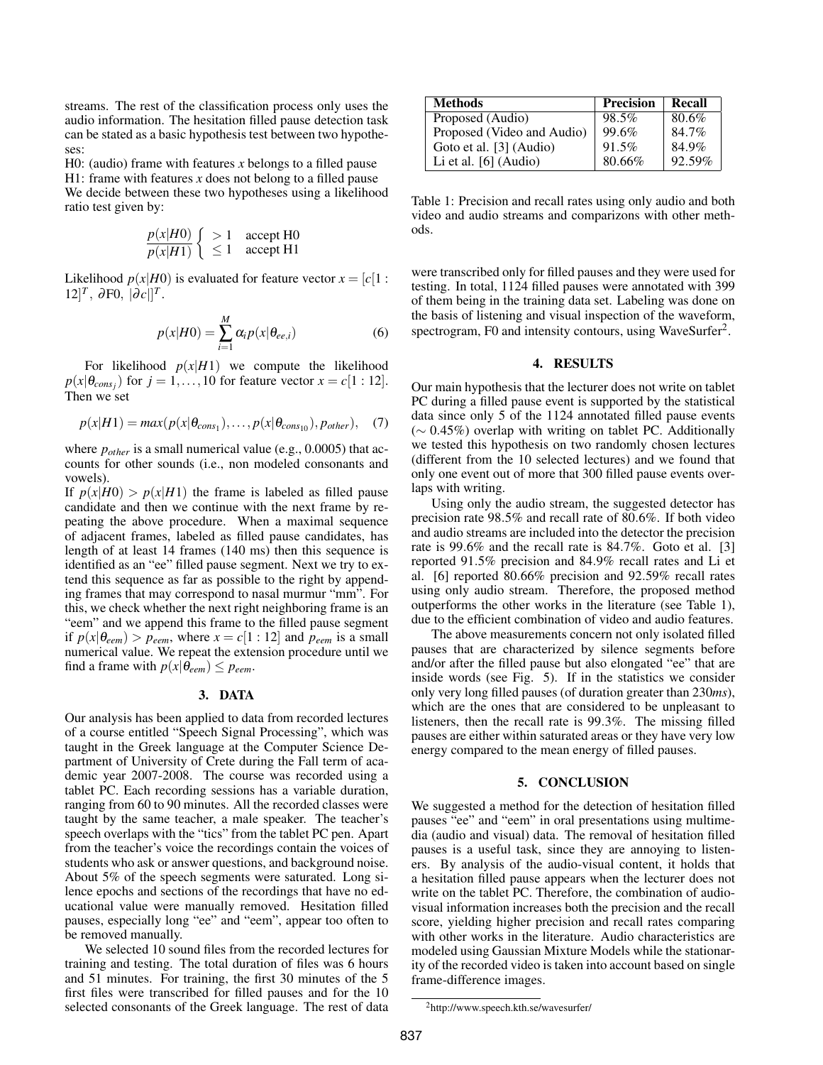streams. The rest of the classification process only uses the audio information. The hesitation filled pause detection task can be stated as a basic hypothesis test between two hypotheses:

H0: (audio) frame with features *x* belongs to a filled pause H1: frame with features *x* does not belong to a filled pause We decide between these two hypotheses using a likelihood ratio test given by:

$$
\frac{p(x|H0)}{p(x|H1)} \begin{cases} > 1 & \text{accept H0} \\ \leq 1 & \text{accept H1} \end{cases}
$$

Likelihood  $p(x|H0)$  is evaluated for feature vector  $x = [c]1$ :  $[12]^T$ ,  $\partial F0$ ,  $[\partial c]]^T$ .

$$
p(x|H0) = \sum_{i=1}^{M} \alpha_i p(x|\theta_{ee,i})
$$
 (6)

For likelihood  $p(x|H1)$  we compute the likelihood  $p(x|\theta_{cons_j})$  for  $j = 1, ..., 10$  for feature vector  $x = c[1:12]$ . Then we set

$$
p(x|H1) = max(p(x|\theta_{cons_1}), \dots, p(x|\theta_{cons_{10}}), p_{other}), \quad (7)
$$

where *pother* is a small numerical value (e.g., 0.0005) that accounts for other sounds (i.e., non modeled consonants and vowels).

If  $p(x|H0) > p(x|H1)$  the frame is labeled as filled pause candidate and then we continue with the next frame by repeating the above procedure. When a maximal sequence of adjacent frames, labeled as filled pause candidates, has length of at least 14 frames (140 ms) then this sequence is identified as an "ee" filled pause segment. Next we try to extend this sequence as far as possible to the right by appending frames that may correspond to nasal murmur "mm". For this, we check whether the next right neighboring frame is an "eem" and we append this frame to the filled pause segment if  $p(x|\theta_{\text{eem}}) > p_{\text{eem}}$ , where  $x = c[1:12]$  and  $p_{\text{eem}}$  is a small numerical value. We repeat the extension procedure until we find a frame with  $p(x|\theta_{\text{eem}}) \leq p_{\text{eem}}$ .

## 3. DATA

Our analysis has been applied to data from recorded lectures of a course entitled "Speech Signal Processing", which was taught in the Greek language at the Computer Science Department of University of Crete during the Fall term of academic year 2007-2008. The course was recorded using a tablet PC. Each recording sessions has a variable duration, ranging from 60 to 90 minutes. All the recorded classes were taught by the same teacher, a male speaker. The teacher's speech overlaps with the "tics" from the tablet PC pen. Apart from the teacher's voice the recordings contain the voices of students who ask or answer questions, and background noise. About 5% of the speech segments were saturated. Long silence epochs and sections of the recordings that have no educational value were manually removed. Hesitation filled pauses, especially long "ee" and "eem", appear too often to be removed manually.

We selected 10 sound files from the recorded lectures for training and testing. The total duration of files was 6 hours and 51 minutes. For training, the first 30 minutes of the 5 first files were transcribed for filled pauses and for the 10 selected consonants of the Greek language. The rest of data

| <b>Methods</b>             | <b>Precision</b> | Recall |
|----------------------------|------------------|--------|
| Proposed (Audio)           | 98.5%            | 80.6%  |
| Proposed (Video and Audio) | 99.6%            | 84.7%  |
| Goto et al. [3] (Audio)    | 91.5%            | 84.9%  |
| Li et al. $[6]$ (Audio)    | 80.66%           | 92.59% |

Table 1: Precision and recall rates using only audio and both video and audio streams and comparizons with other methods.

were transcribed only for filled pauses and they were used for testing. In total, 1124 filled pauses were annotated with 399 of them being in the training data set. Labeling was done on the basis of listening and visual inspection of the waveform, spectrogram, F0 and intensity contours, using WaveSurfer<sup>2</sup>.

#### 4. RESULTS

Our main hypothesis that the lecturer does not write on tablet PC during a filled pause event is supported by the statistical data since only 5 of the 1124 annotated filled pause events (∼ 0.45%) overlap with writing on tablet PC. Additionally we tested this hypothesis on two randomly chosen lectures (different from the 10 selected lectures) and we found that only one event out of more that 300 filled pause events overlaps with writing.

Using only the audio stream, the suggested detector has precision rate 98.5% and recall rate of 80.6%. If both video and audio streams are included into the detector the precision rate is 99.6% and the recall rate is 84.7%. Goto et al. [3] reported 91.5% precision and 84.9% recall rates and Li et al. [6] reported 80.66% precision and 92.59% recall rates using only audio stream. Therefore, the proposed method outperforms the other works in the literature (see Table 1), due to the efficient combination of video and audio features.

The above measurements concern not only isolated filled pauses that are characterized by silence segments before and/or after the filled pause but also elongated "ee" that are inside words (see Fig. 5). If in the statistics we consider only very long filled pauses (of duration greater than 230*ms*), which are the ones that are considered to be unpleasant to listeners, then the recall rate is 99.3%. The missing filled pauses are either within saturated areas or they have very low energy compared to the mean energy of filled pauses.

### 5. CONCLUSION

We suggested a method for the detection of hesitation filled pauses "ee" and "eem" in oral presentations using multimedia (audio and visual) data. The removal of hesitation filled pauses is a useful task, since they are annoying to listeners. By analysis of the audio-visual content, it holds that a hesitation filled pause appears when the lecturer does not write on the tablet PC. Therefore, the combination of audiovisual information increases both the precision and the recall score, yielding higher precision and recall rates comparing with other works in the literature. Audio characteristics are modeled using Gaussian Mixture Models while the stationarity of the recorded video is taken into account based on single frame-difference images.

<sup>2</sup>http://www.speech.kth.se/wavesurfer/